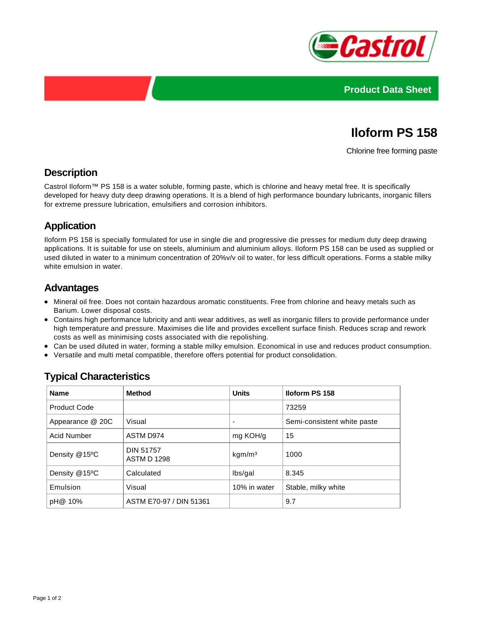



# **Iloform PS 158**

Chlorine free forming paste

#### **Description**

Castrol Iloform™ PS 158 is a water soluble, forming paste, which is chlorine and heavy metal free. It is specifically developed for heavy duty deep drawing operations. It is a blend of high performance boundary lubricants, inorganic fillers for extreme pressure lubrication, emulsifiers and corrosion inhibitors.

## **Application**

Iloform PS 158 is specially formulated for use in single die and progressive die presses for medium duty deep drawing applications. It is suitable for use on steels, aluminium and aluminium alloys. Iloform PS 158 can be used as supplied or used diluted in water to a minimum concentration of 20%v/v oil to water, for less difficult operations. Forms a stable milky white emulsion in water.

## **Advantages**

- Mineral oil free. Does not contain hazardous aromatic constituents. Free from chlorine and heavy metals such as Barium. Lower disposal costs.
- Contains high performance lubricity and anti wear additives, as well as inorganic fillers to provide performance under high temperature and pressure. Maximises die life and provides excellent surface finish. Reduces scrap and rework costs as well as minimising costs associated with die repolishing.
- Can be used diluted in water, forming a stable milky emulsion. Economical in use and reduces product consumption.
- Versatile and multi metal compatible, therefore offers potential for product consolidation.

| <b>Name</b>         | <b>Method</b>                          | <b>Units</b>       | <b>Iloform PS 158</b>       |  |
|---------------------|----------------------------------------|--------------------|-----------------------------|--|
| <b>Product Code</b> |                                        |                    | 73259                       |  |
| Appearance @ 20C    | Visual                                 |                    | Semi-consistent white paste |  |
| <b>Acid Number</b>  | ASTM D974                              | mg KOH/g           | 15                          |  |
| Density @15°C       | <b>DIN 51757</b><br><b>ASTM D 1298</b> | kgm/m <sup>3</sup> | 1000                        |  |
| Density @15°C       | Calculated                             | lbs/gal            | 8.345                       |  |
| Emulsion            | Visual                                 | 10% in water       | Stable, milky white         |  |
| pH@ 10%             | ASTM E70-97 / DIN 51361                |                    | 9.7                         |  |

## **Typical Characteristics**